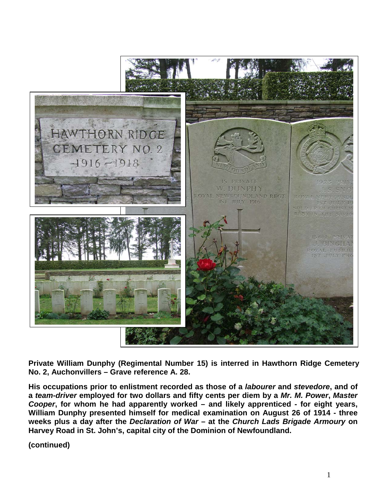

**Private William Dunphy (Regimental Number 15) is interred in Hawthorn Ridge Cemetery No. 2, Auchonvillers – Grave reference A. 28.**

**His occupations prior to enlistment recorded as those of a** *labourer* **and** *stevedore***, and of a** *team-driver* **employed for two dollars and fifty cents per diem by a** *Mr. M. Power***,** *Master Cooper***, for whom he had apparently worked – and likely apprenticed - for eight years, William Dunphy presented himself for medical examination on August 26 of 1914 - three weeks plus a day after the** *Declaration of War* **– at the** *Church Lads Brigade Armoury* **on Harvey Road in St. John's, capital city of the Dominion of Newfoundland.**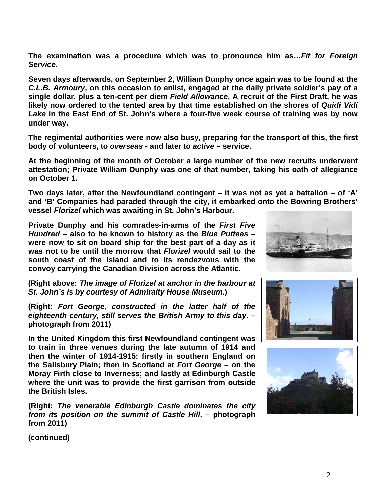**The examination was a procedure which was to pronounce him as…***Fit for Foreign Service.*

**Seven days afterwards, on September 2, William Dunphy once again was to be found at the**  *C.L.B. Armoury***, on this occasion to enlist, engaged at the daily private soldier's pay of a single dollar, plus a ten-cent per diem** *Field Allowance***. A recruit of the First Draft, he was likely now ordered to the tented area by that time established on the shores of** *Quidi Vidi Lake* **in the East End of St. John's where a four-five week course of training was by now under way.**

**The regimental authorities were now also busy, preparing for the transport of this, the first body of volunteers, to** *overseas* **- and later to** *active* **– service.**

**At the beginning of the month of October a large number of the new recruits underwent attestation; Private William Dunphy was one of that number, taking his oath of allegiance on October 1.**

**Two days later, after the Newfoundland contingent – it was not as yet a battalion – of 'A' and 'B' Companies had paraded through the city, it embarked onto the Bowring Brothers' vessel** *Florizel* **which was awaiting in St. John's Harbour.** 

**Private Dunphy and his comrades-in-arms of the** *First Five Hundred* **– also to be known to history as the** *Blue Puttees* **– were now to sit on board ship for the best part of a day as it was not to be until the morrow that** *Florizel* **would sail to the south coast of the Island and to its rendezvous with the convoy carrying the Canadian Division across the Atlantic.**

**(Right above:** *The image of Florizel at anchor in the harbour at St. John's is by courtesy of Admiralty House Museum***.)**

**(Right:** *Fort George, constructed in the latter half of the eighteenth century, still serves the British Army to this day***. – photograph from 2011)**

**In the United Kingdom this first Newfoundland contingent was to train in three venues during the late autumn of 1914 and then the winter of 1914-1915: firstly in southern England on the Salisbury Plain; then in Scotland at** *Fort George* **– on the Moray Firth close to Inverness; and lastly at Edinburgh Castle where the unit was to provide the first garrison from outside the British Isles.** 

**(Right:** *The venerable Edinburgh Castle dominates the city from its position on the summit of Castle Hill***. – photograph from 2011)**





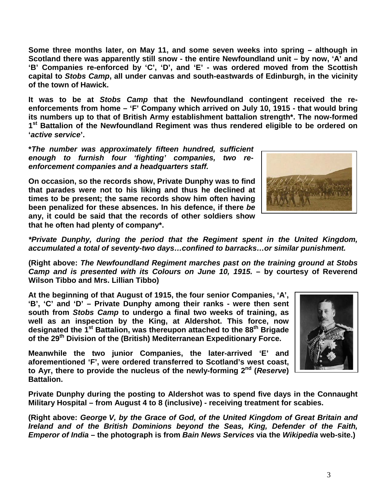**Some three months later, on May 11, and some seven weeks into spring – although in Scotland there was apparently still snow - the entire Newfoundland unit – by now, 'A' and 'B' Companies re-enforced by 'C', 'D', and 'E' - was ordered moved from the Scottish capital to** *Stobs Camp***, all under canvas and south-eastwards of Edinburgh, in the vicinity of the town of Hawick.**

**It was to be at** *Stobs Camp* **that the Newfoundland contingent received the reenforcements from home – 'F' Company which arrived on July 10, 1915 - that would bring its numbers up to that of British Army establishment battalion strength\*. The now-formed 1st Battalion of the Newfoundland Regiment was thus rendered eligible to be ordered on '***active service***'.**

**\****The number was approximately fifteen hundred, sufficient enough to furnish four 'fighting' companies, two reenforcement companies and a headquarters staff.*

**On occasion, so the records show, Private Dunphy was to find that parades were not to his liking and thus he declined at times to be present; the same records show him often having been penalized for these absences. In his defence, if there** *be*  **any, it could be said that the records of other soldiers show that he often had plenty of company\*.**



*\*Private Dunphy, during the period that the Regiment spent in the United Kingdom, accumulated a total of seventy-two days…confined to barracks…or similar punishment.*

**(Right above:** *The Newfoundland Regiment marches past on the training ground at Stobs Camp and is presented with its Colours on June 10, 1915.* **– by courtesy of Reverend Wilson Tibbo and Mrs. Lillian Tibbo)**

**At the beginning of that August of 1915, the four senior Companies, 'A', 'B', 'C' and 'D' – Private Dunphy among their ranks - were then sent south from** *Stobs Camp* **to undergo a final two weeks of training, as well as an inspection by the King, at Aldershot. This force, now designated the 1st Battalion, was thereupon attached to the 88th Brigade of the 29th Division of the (British) Mediterranean Expeditionary Force.**

**Meanwhile the two junior Companies, the later-arrived 'E' and aforementioned 'F', were ordered transferred to Scotland's west coast, to Ayr, there to provide the nucleus of the newly-forming 2nd (***Reserve***) Battalion.**

**Private Dunphy during the posting to Aldershot was to spend five days in the Connaught Military Hospital – from August 4 to 8 (inclusive) - receiving treatment for scabies.**

**(Right above:** *George V, by the Grace of God, of the United Kingdom of Great Britain and Ireland and of the British Dominions beyond the Seas, King, Defender of the Faith, Emperor of India* **– the photograph is from** *Bain News Services* **via the** *Wikipedia* **web-site.)**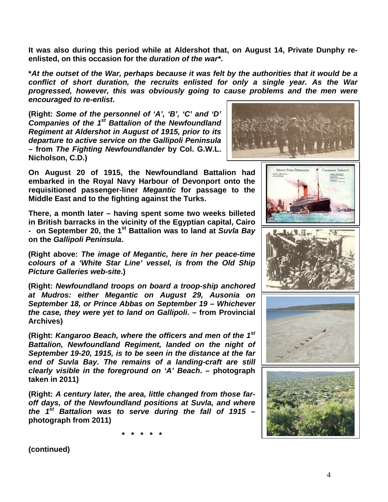**It was also during this period while at Aldershot that, on August 14, Private Dunphy reenlisted, on this occasion for the** *duration of the war\****.**

**\****At the outset of the War, perhaps because it was felt by the authorities that it would be a conflict of short duration, the recruits enlisted for only a single year. As the War progressed, however, this was obviously going to cause problems and the men were encouraged to re-enlist***.**

**(Right:** *Some of the personnel of 'A', 'B', 'C' and 'D' Companies of the 1st Battalion of the Newfoundland Regiment at Aldershot in August of 1915, prior to its departure to active service on the Gallipoli Peninsula*  **– from** *The Fighting Newfoundlander* **by Col. G.W.L. Nicholson, C.D.)**



WHITE STAR-DOMINION

**On August 20 of 1915, the Newfoundland Battalion had embarked in the Royal Navy Harbour of Devonport onto the requisitioned passenger-liner** *Megantic* **for passage to the Middle East and to the fighting against the Turks.** 

**There, a month later – having spent some two weeks billeted in British barracks in the vicinity of the Egyptian capital, Cairo - on September 20, the 1st Battalion was to land at** *Suvla Bay* **on the** *Gallipoli Peninsula***.**

**(Right above:** *The image of Megantic, here in her peace-time colours of a 'White Star Line' vessel, is from the Old Ship Picture Galleries web-site***.)**

**(Right:** *Newfoundland troops on board a troop-ship anchored at Mudros: either Megantic on August 29, Ausonia on September 18, or Prince Abbas on September 19 – Whichever the case, they were yet to land on Gallipoli***. – from Provincial Archives)**

**(Right:** *Kangaroo Beach, where the officers and men of the 1st Battalion, Newfoundland Regiment, landed on the night of September 19-20, 1915, is to be seen in the distance at the far end of Suvla Bay. The remains of a landing-craft are still clearly visible in the foreground on 'A' Beach***. – photograph taken in 2011)**

**(Right:** *A century later, the area, little changed from those faroff days, of the Newfoundland positions at Suvla, and where the 1st Battalion was to serve during the fall of 1915* **– photograph from 2011)**

**\* \* \* \* \***

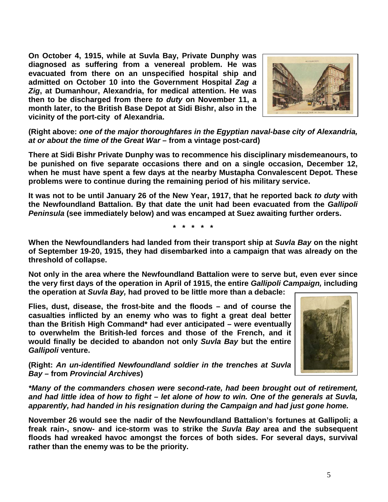**On October 4, 1915, while at Suvla Bay, Private Dunphy was diagnosed as suffering from a venereal problem. He was evacuated from there on an unspecified hospital ship and admitted on October 10 into the Government Hospital** *Zag a Zig***, at Dumanhour, Alexandria, for medical attention. He was then to be discharged from there** *to duty* **on November 11, a month later, to the British Base Depot at Sidi Bishr, also in the vicinity of the port-city of Alexandria.**



**(Right above:** *one of the major thoroughfares in the Egyptian naval-base city of Alexandria, at or about the time of the Great War* **– from a vintage post-card)**

**There at Sidi Bishr Private Dunphy was to recommence his disciplinary misdemeanours, to be punished on five separate occasions there and on a single occasion, December 12, when he must have spent a few days at the nearby Mustapha Convalescent Depot. These problems were to continue during the remaining period of his military service.**

**It was not to be until January 26 of the New Year, 1917, that he reported back** *to duty* **with the Newfoundland Battalion. By that date the unit had been evacuated from the** *Gallipoli Peninsula* **(see immediately below) and was encamped at Suez awaiting further orders.**

**\* \* \* \* \***

**When the Newfoundlanders had landed from their transport ship at** *Suvla Bay* **on the night of September 19-20, 1915, they had disembarked into a campaign that was already on the threshold of collapse.**

**Not only in the area where the Newfoundland Battalion were to serve but, even ever since the very first days of the operation in April of 1915, the entire** *Gallipoli Campaign,* **including the operation at** *Suvla Bay,* **had proved to be little more than a debacle:** 

**Flies, dust, disease, the frost-bite and the floods – and of course the casualties inflicted by an enemy who was to fight a great deal better than the British High Command\* had ever anticipated – were eventually to overwhelm the British-led forces and those of the French, and it would finally be decided to abandon not only** *Suvla Bay* **but the entire**  *Gallipoli* **venture.**



**(Right:** *An un-identified Newfoundland soldier in the trenches at Suvla Bay –* **from** *Provincial Archives***)**

*\*Many of the commanders chosen were second-rate, had been brought out of retirement, and had little idea of how to fight – let alone of how to win. One of the generals at Suvla, apparently, had handed in his resignation during the Campaign and had just gone home.* 

**November 26 would see the nadir of the Newfoundland Battalion's fortunes at Gallipoli; a freak rain-, snow- and ice-storm was to strike the** *Suvla Bay* **area and the subsequent floods had wreaked havoc amongst the forces of both sides. For several days, survival rather than the enemy was to be the priority.**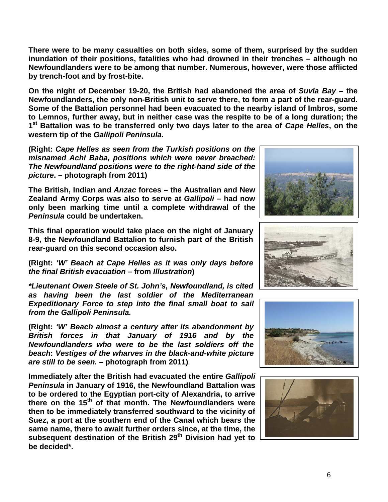**There were to be many casualties on both sides, some of them, surprised by the sudden inundation of their positions, fatalities who had drowned in their trenches – although no Newfoundlanders were to be among that number. Numerous, however, were those afflicted by trench-foot and by frost-bite.**

**On the night of December 19-20, the British had abandoned the area of** *Suvla Bay* **– the Newfoundlanders, the only non-British unit to serve there, to form a part of the rear-guard. Some of the Battalion personnel had been evacuated to the nearby island of Imbros, some to Lemnos, further away, but in neither case was the respite to be of a long duration; the 1st Battalion was to be transferred only two days later to the area of** *Cape Helles***, on the western tip of the** *Gallipoli Peninsula***.**

**(Right:** *Cape Helles as seen from the Turkish positions on the misnamed Achi Baba, positions which were never breached: The Newfoundland positions were to the right-hand side of the picture***. – photograph from 2011)**

**The British, Indian and** *Anzac* **forces – the Australian and New Zealand Army Corps was also to serve at** *Gallipoli* **– had now only been marking time until a complete withdrawal of the**  *Peninsula* **could be undertaken.** 

**This final operation would take place on the night of January 8-9, the Newfoundland Battalion to furnish part of the British rear-guard on this second occasion also.**

**(Right:** *'W' Beach at Cape Helles as it was only days before the final British evacuation* **– from** *Illustration***)**

*\*Lieutenant Owen Steele of St. John's, Newfoundland, is cited as having been the last soldier of the Mediterranean Expeditionary Force to step into the final small boat to sail from the Gallipoli Peninsula.*

**(Right:** *'W' Beach almost a century after its abandonment by British forces in that January of 1916 and by the Newfoundlanders who were to be the last soldiers off the beach***:** *Vestiges of the wharves in the black-and-white picture are still to be seen.* **– photograph from 2011)**

**Immediately after the British had evacuated the entire** *Gallipoli Peninsula* **in January of 1916, the Newfoundland Battalion was to be ordered to the Egyptian port-city of Alexandria, to arrive there on the 15th of that month. The Newfoundlanders were then to be immediately transferred southward to the vicinity of Suez, a port at the southern end of the Canal which bears the same name, there to await further orders since, at the time, the subsequent destination of the British 29th Division had yet to be decided\*.**







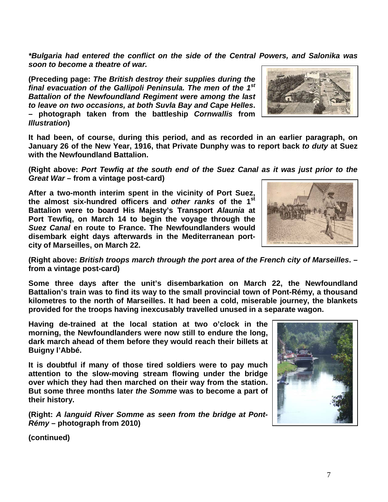*\*Bulgaria had entered the conflict on the side of the Central Powers, and Salonika was soon to become a theatre of war.*

**(Preceding page:** *The British destroy their supplies during the final evacuation of the Gallipoli Peninsula. The men of the 1st Battalion of the Newfoundland Regiment were among the last to leave on two occasions, at both Suvla Bay and Cape Helles***. – photograph taken from the battleship** *Cornwallis* **from**  *Illustration***)**



**(Right above:** *Port Tewfiq at the south end of the Suez Canal as it was just prior to the Great War* **– from a vintage post-card)**

**After a two-month interim spent in the vicinity of Port Suez, the almost six-hundred officers and** *other ranks* **of the 1st Battalion were to board His Majesty's Transport** *Alaunia* **at Port Tewfiq, on March 14 to begin the voyage through the**  *Suez Canal* **en route to France. The Newfoundlanders would disembark eight days afterwards in the Mediterranean portcity of Marseilles, on March 22.**



**(Right above:** *British troops march through the port area of the French city of Marseilles***. – from a vintage post-card)**

**Some three days after the unit's disembarkation on March 22, the Newfoundland Battalion's train was to find its way to the small provincial town of Pont-Rémy, a thousand kilometres to the north of Marseilles. It had been a cold, miserable journey, the blankets provided for the troops having inexcusably travelled unused in a separate wagon.**

**Having de-trained at the local station at two o'clock in the morning, the Newfoundlanders were now still to endure the long, dark march ahead of them before they would reach their billets at Buigny l'Abbé.**

**It is doubtful if many of those tired soldiers were to pay much attention to the slow-moving stream flowing under the bridge over which they had then marched on their way from the station. But some three months later** *the Somme* **was to become a part of their history.**

**(Right:** *A languid River Somme as seen from the bridge at Pont-Rémy* **– photograph from 2010)**

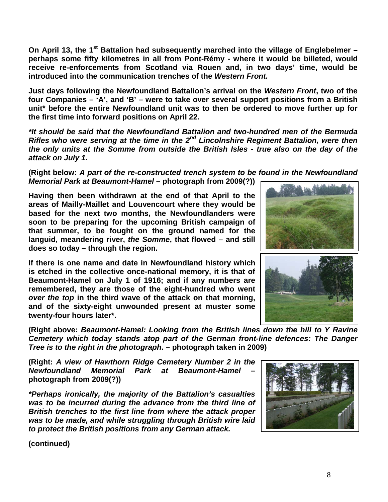**On April 13, the 1st Battalion had subsequently marched into the village of Englebelmer – perhaps some fifty kilometres in all from Pont-Rémy - where it would be billeted, would receive re-enforcements from Scotland via Rouen and, in two days' time, would be introduced into the communication trenches of the** *Western Front.*

**Just days following the Newfoundland Battalion's arrival on the** *Western Front***, two of the four Companies – 'A', and 'B' – were to take over several support positions from a British unit\* before the entire Newfoundland unit was to then be ordered to move further up for the first time into forward positions on April 22.**

*\*It should be said that the Newfoundland Battalion and two-hundred men of the Bermuda Rifles who were serving at the time in the 2nd Lincolnshire Regiment Battalion, were then the only units at the Somme from outside the British Isles - true also on the day of the attack on July 1.*

**(Right below:** *A part of the re-constructed trench system to be found in the Newfoundland Memorial Park at Beaumont-Hamel* **– photograph from 2009(?))**

**Having then been withdrawn at the end of that April to the areas of Mailly-Maillet and Louvencourt where they would be based for the next two months, the Newfoundlanders were soon to be preparing for the upcoming British campaign of that summer, to be fought on the ground named for the languid, meandering river,** *the Somme***, that flowed – and still does so today – through the region.** 

**If there is one name and date in Newfoundland history which is etched in the collective once-national memory, it is that of Beaumont-Hamel on July 1 of 1916; and if any numbers are remembered, they are those of the eight-hundred who went**  *over the top* **in the third wave of the attack on that morning, and of the sixty-eight unwounded present at muster some twenty-four hours later\*.**



**(Right above:** *Beaumont-Hamel: Looking from the British lines down the hill to Y Ravine Cemetery which today stands atop part of the German front-line defences: The Danger Tree is to the right in the photograph***. – photograph taken in 2009)**

**(Right:** *A view of Hawthorn Ridge Cemetery Number 2 in the Newfoundland Memorial Park at Beaumont-Hamel* **– photograph from 2009(?))**

*\*Perhaps ironically, the majority of the Battalion's casualties was to be incurred during the advance from the third line of British trenches to the first line from where the attack proper was to be made, and while struggling through British wire laid to protect the British positions from any German attack.*

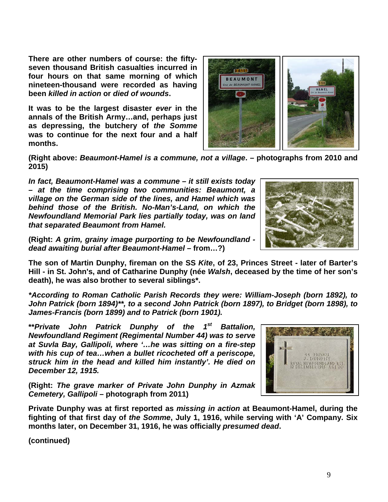**There are other numbers of course: the fiftyseven thousand British casualties incurred in four hours on that same morning of which nineteen-thousand were recorded as having been** *killed in action* **or** *died of wounds***.** 

**It was to be the largest disaster** *ever* **in the annals of the British Army…and, perhaps just as depressing, the butchery of** *the Somme* **was to continue for the next four and a half months.**



**(Right above:** *Beaumont-Hamel is a commune, not a village***. – photographs from 2010 and 2015)**

*In fact, Beaumont-Hamel was a commune – it still exists today – at the time comprising two communities: Beaumont, a village on the German side of the lines, and Hamel which was behind those of the British. No-Man's-Land, on which the Newfoundland Memorial Park lies partially today, was on land that separated Beaumont from Hamel.* 



**(Right:** *A grim, grainy image purporting to be Newfoundland dead awaiting burial after Beaumont-Hamel –* **from…?)**

**The son of Martin Dunphy, fireman on the SS** *Kite***, of 23, Princes Street - later of Barter's Hill - in St. John's, and of Catharine Dunphy (née** *Walsh***, deceased by the time of her son's death), he was also brother to several siblings\*.**

*\*According to Roman Catholic Parish Records they were: William-Joseph (born 1892), to John Patrick (born 1894)\*\*, to a second John Patrick (born 1897), to Bridget (born 1898), to James-Francis (born 1899) and to Patrick (born 1901).*

**\*\****Private John Patrick Dunphy of the 1st Battalion, Newfoundland Regiment (Regimental Number 44) was to serve at Suvla Bay, Gallipoli, where '…he was sitting on a fire-step with his cup of tea…when a bullet ricocheted off a periscope, struck him in the head and killed him instantly'. He died on December 12, 1915.*

**(Right:** *The grave marker of Private John Dunphy in Azmak Cemetery, Gallipoli* **– photograph from 2011)**

**Private Dunphy was at first reported as** *missing in action* **at Beaumont-Hamel, during the fighting of that first day of** *the Somme***, July 1, 1916, while serving with 'A' Company. Six months later, on December 31, 1916, he was officially** *presumed dead***.**